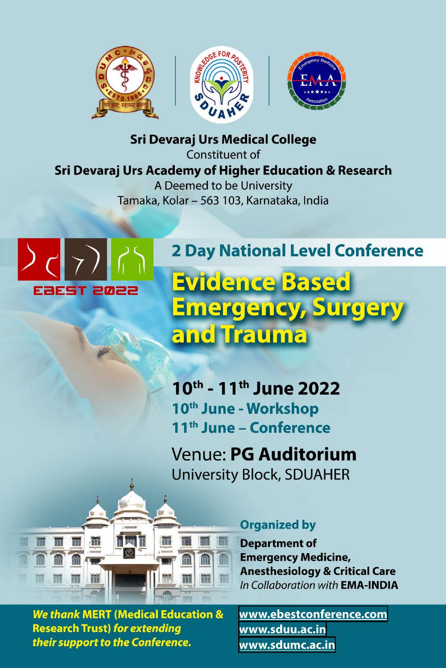

**Sri Devaraj Urs Medical College** 

Constituent of Sri Devaraj Urs Academy of Higher Education & Research A Deemed to be University Tamaka, Kolar - 563 103, Karnataka, India



**Fift** 

## **2 Day National Level Conference**

# Evidence Based <u>Emergency, Surgery</u> and Trauma

10<sup>th</sup> - 11<sup>th</sup> June 2022 10<sup>th</sup> June - Workshop 11<sup>th</sup> June - Conference

Venue: PG Auditorium **University Block, SDUAHER** 



#### **Organized by**

**Department of Emergency Medicine, Anesthesiology & Critical Care** In Collaboration with **EMA-INDIA** 

**We thank MERT (Medical Education & Research Trust) for extending** their support to the Conference.

www.ebestconference.com www.sduu.ac.in www.sdumc.ac.in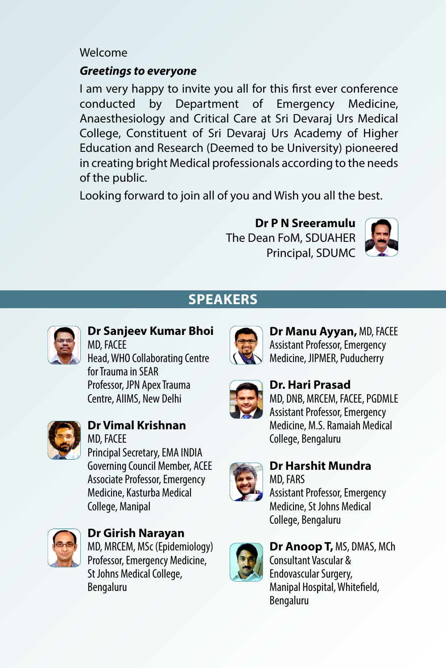### Welcome

### *Greetings to everyone*

I am very happy to invite you all for this first ever conference conducted by Department of Emergency Medicine, Anaesthesiology and Critical Care at Sri Devaraj Urs Medical College, Constituent of Sri Devaraj Urs Academy of Higher Education and Research (Deemed to be University) pioneered in creating bright Medical professionals according to the needs of the public.

Looking forward to join all of you and Wish you all the best.

**Dr P N Sreeramulu** The Dean FoM, SDUAHER Principal, SDUMC



## **Speakers**



#### **Dr Sanjeev Kumar Bhoi** MD, FACEE Head, WHO Collaborating Centre for Trauma in SEAR Professor, JPN Apex Trauma

Centre, AIIMS, New Delhi

#### **Dr Vimal Krishnan** MD, FACEE Principal Secretary, EMA INDIA Governing Council Member, ACEE Associate Professor, Emergency Medicine, Kasturba Medical

College, Manipal



**Dr Girish Narayan** MD, MRCEM, MSc (Epidemiology) Professor, Emergency Medicine, St Johns Medical College, Bengaluru



**Dr Manu Ayyan,** MD, FACEE Assistant Professor, Emergency Medicine, JIPMER, Puducherry



## **Dr. Hari Prasad**

MD, DNB, MRCEM, FACEE, PGDMLE Assistant Professor, Emergency Medicine, M.S. Ramaiah Medical College, Bengaluru



#### **Dr Harshit Mundra** MD, FARS

Assistant Professor, Emergency Medicine, St Johns Medical College, Bengaluru



**Dr Anoop T,** MS, DMAS, MCh Consultant Vascular & Endovascular Surgery, Manipal Hospital, Whitefield, Bengaluru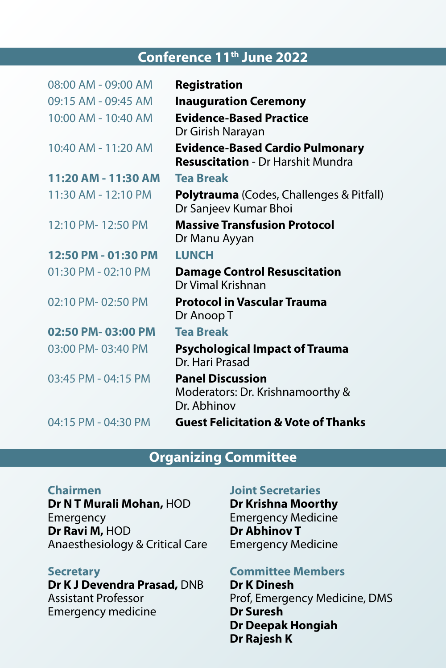## **Conference 11th June 2022**

| 08:00 AM - 09:00 AM     | <b>Registration</b>                                                                |
|-------------------------|------------------------------------------------------------------------------------|
| 09:15 AM - 09:45 AM     | <b>Inauguration Ceremony</b>                                                       |
| 10:00 AM - 10:40 AM     | <b>Evidence-Based Practice</b><br>Dr Girish Narayan                                |
| 10:40 AM - 11:20 AM     | <b>Evidence-Based Cardio Pulmonary</b><br><b>Resuscitation - Dr Harshit Mundra</b> |
| 11:20 AM - 11:30 AM     | <b>Tea Break</b>                                                                   |
| 11:30 AM - 12:10 PM     | <b>Polytrauma</b> (Codes, Challenges & Pitfall)<br>Dr Sanjeev Kumar Bhoi           |
| 12:10 PM-12:50 PM       | <b>Massive Transfusion Protocol</b><br>Dr Manu Ayyan                               |
| 12:50 PM - 01:30 PM     | <b>LUNCH</b>                                                                       |
| $01:30$ PM - $02:10$ PM | <b>Damage Control Resuscitation</b><br>Dr Vimal Krishnan                           |
| 02:10 PM-02:50 PM       | <b>Protocol in Vascular Trauma</b><br>Dr Anoop T                                   |
| 02:50 PM-03:00 PM       | Tea Break                                                                          |
| 03:00 PM-03:40 PM       | <b>Psychological Impact of Trauma</b><br>Dr. Hari Prasad                           |
| 03:45 PM - 04:15 PM     | <b>Panel Discussion</b><br>Moderators: Dr. Krishnamoorthy &<br>Dr. Abhinov         |
| 04:15 PM - 04:30 PM     | <b>Guest Felicitation &amp; Vote of Thanks</b>                                     |
|                         |                                                                                    |

## **Organizing Committee**

#### **Chairmen**

**Dr N T Murali Mohan,** HOD Emergency **Dr Ravi M,** HOD Anaesthesiology & Critical Care

#### **Secretary**

**Dr K J Devendra Prasad,** DNB Assistant Professor Emergency medicine

#### **Joint Secretaries**

**Dr Krishna Moorthy** Emergency Medicine **Dr Abhinov T** Emergency Medicine

#### **Committee Members**

**Dr K Dinesh** Prof, Emergency Medicine, DMS **Dr Suresh Dr Deepak Hongiah Dr Rajesh K**